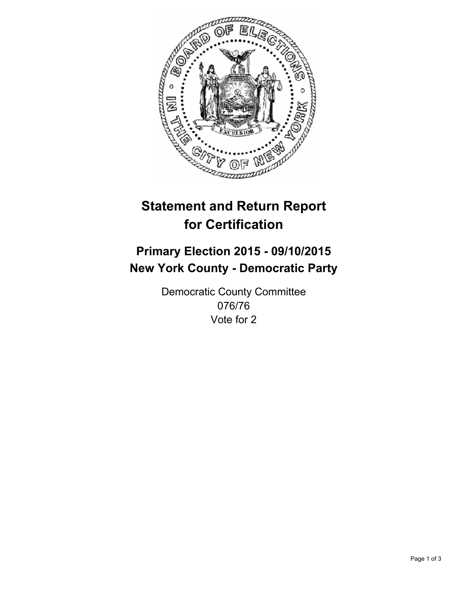

# **Statement and Return Report for Certification**

## **Primary Election 2015 - 09/10/2015 New York County - Democratic Party**

Democratic County Committee 076/76 Vote for 2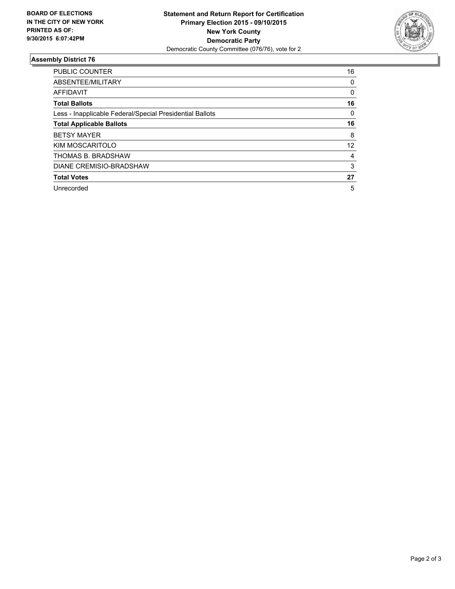

#### **Assembly District 76**

| <b>PUBLIC COUNTER</b>                                    | 16 |
|----------------------------------------------------------|----|
| ABSENTEE/MILITARY                                        | 0  |
| <b>AFFIDAVIT</b>                                         | 0  |
| <b>Total Ballots</b>                                     | 16 |
| Less - Inapplicable Federal/Special Presidential Ballots | 0  |
| <b>Total Applicable Ballots</b>                          | 16 |
| <b>BETSY MAYER</b>                                       | 8  |
| KIM MOSCARITOLO                                          | 12 |
| THOMAS B. BRADSHAW                                       | 4  |
| DIANE CREMISIO-BRADSHAW                                  | 3  |
| <b>Total Votes</b>                                       | 27 |
| Unrecorded                                               | 5  |